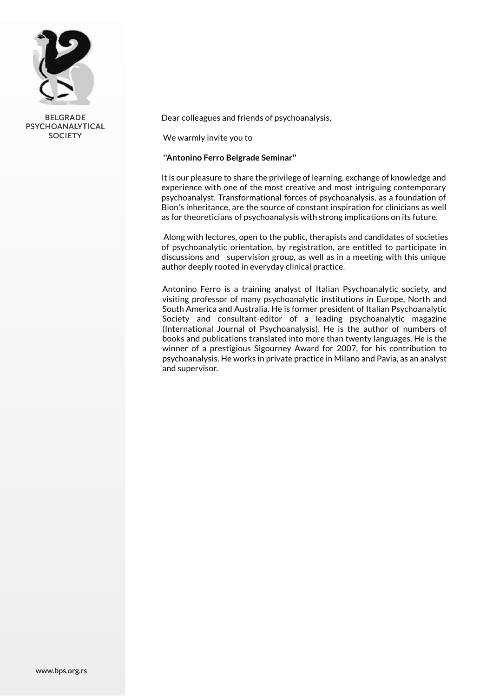

BELGRADE PSYCHOANALYTICAL **SOCIETY** 

Dear colleagues and friends of psychoanalysis,

We warmly invite you to

# **''Antonino Ferro Belgrade Seminar''**

It is our pleasure to share the privilege of learning, exchange of knowledge and experience with one of the most creative and most intriguing contemporary psychoanalyst. Transformational forces of psychoanalysis, as a foundation of Bion's inheritance, are the source of constant inspiration for clinicians as well as for theoreticians of psychoanalysis with strong implications on its future.

Along with lectures, open to the public, therapists and candidates of societies of psychoanalytic orientation, by registration, are entitled to participate in discussions and supervision group, as well as in a meeting with this unique author deeply rooted in everyday clinical practice.

Antonino Ferro is a training analyst of Italian Psychoanalytic society, and visiting professor of many psychoanalytic institutions in Europe, North and South America and Australia. He is former president of Italian Psychoanalytic Society and consultant-editor of a leading psychoanalytic magazine (International Journal of Psychoanalysis). He is the author of numbers of books and publications translated into more than twenty languages. He is the winner of a prestigious Sigourney Award for 2007, for his contribution to psychoanalysis. He works in private practice in Milano and Pavia, as an analyst and supervisor.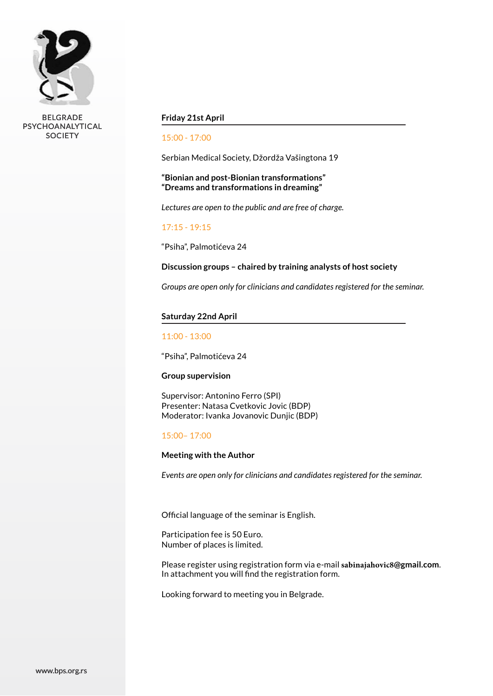

BELGRADE PSYCHOANALYTICAL **SOCIETY** 

## **Friday 21st April**

### 15:00 - 17:00

Serbian Medical Society, Džordža Vašingtona 19

# **"Bionian and post-Bionian transformations" "Dreams and transformations in dreaming"**

*Lectures are open to the public and are free of charge.*

### 17:15 - 19:15

"Psiha", Palmotićeva 24

### **Discussion groups – chaired by training analysts of host society**

*Groups are open only for clinicians and candidates registered for the seminar.*

#### **Saturday 22nd April**

#### 11:00 - 13:00

"Psiha", Palmotićeva 24

#### **Group supervision**

Supervisor: Antonino Ferro (SPI) Presenter: Natasa Cvetkovic Jovic (BDP) Moderator: Ivanka Jovanovic Dunjic (BDP)

#### 15:00– 17:00

### **Meeting with the Author**

*Events are open only for clinicians and candidates registered for the seminar.*

Official language of the seminar is English.

Participation fee is 50 Euro. Number of places is limited.

Please register using registration form via e-mail **sabinajahovic8@gmail.com**. In attachment you will find the registration form.

Looking forward to meeting you in Belgrade.